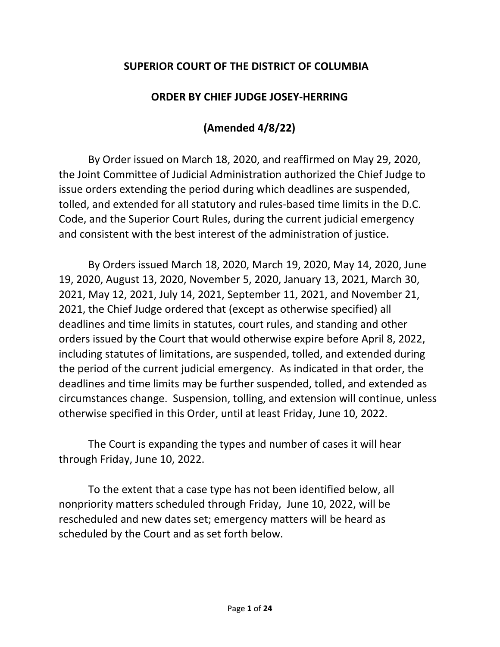## **SUPERIOR COURT OF THE DISTRICT OF COLUMBIA**

## **ORDER BY CHIEF JUDGE JOSEY-HERRING**

## **(Amended 4/8/22)**

By Order issued on March 18, 2020, and reaffirmed on May 29, 2020, the Joint Committee of Judicial Administration authorized the Chief Judge to issue orders extending the period during which deadlines are suspended, tolled, and extended for all statutory and rules-based time limits in the D.C. Code, and the Superior Court Rules, during the current judicial emergency and consistent with the best interest of the administration of justice.

By Orders issued March 18, 2020, March 19, 2020, May 14, 2020, June 19, 2020, August 13, 2020, November 5, 2020, January 13, 2021, March 30, 2021, May 12, 2021, July 14, 2021, September 11, 2021, and November 21, 2021, the Chief Judge ordered that (except as otherwise specified) all deadlines and time limits in statutes, court rules, and standing and other orders issued by the Court that would otherwise expire before April 8, 2022, including statutes of limitations, are suspended, tolled, and extended during the period of the current judicial emergency. As indicated in that order, the deadlines and time limits may be further suspended, tolled, and extended as circumstances change. Suspension, tolling, and extension will continue, unless otherwise specified in this Order, until at least Friday, June 10, 2022.

The Court is expanding the types and number of cases it will hear through Friday, June 10, 2022.

To the extent that a case type has not been identified below, all nonpriority matters scheduled through Friday, June 10, 2022, will be rescheduled and new dates set; emergency matters will be heard as scheduled by the Court and as set forth below.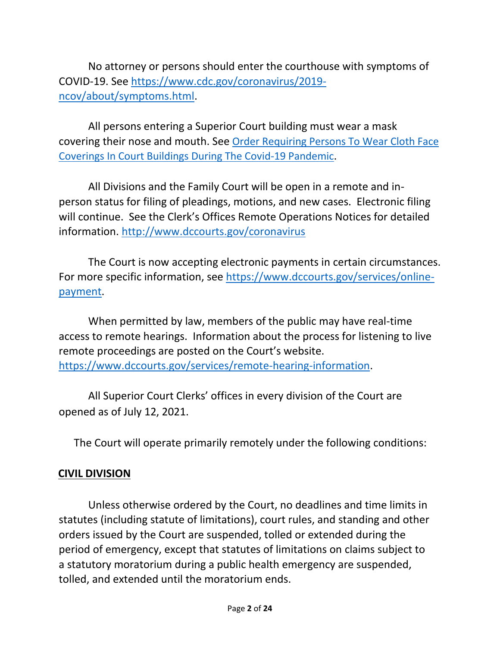No attorney or persons should enter the courthouse with symptoms of COVID-19. See [https://www.cdc.gov/coronavirus/2019](https://www.cdc.gov/coronavirus/2019-ncov/about/symptoms.html) [ncov/about/symptoms.html.](https://www.cdc.gov/coronavirus/2019-ncov/about/symptoms.html)

All persons entering a Superior Court building must wear a mask covering their nose and mouth. See [Order Requiring Persons To Wear Cloth Face](https://www.dccourts.gov/sites/default/files/2020-06/Joint%20Committee%20Order%20Requiring%20Persons%20to%20Wear%20Face%20Coverings%20in%20Court%20Buildings%20During%20the%20COVID-19%20Pandemic%206.26.20%20%5BS%5D.pdf)  [Coverings In Court Buildings During The Covid-19 Pandemic](https://www.dccourts.gov/sites/default/files/2020-06/Joint%20Committee%20Order%20Requiring%20Persons%20to%20Wear%20Face%20Coverings%20in%20Court%20Buildings%20During%20the%20COVID-19%20Pandemic%206.26.20%20%5BS%5D.pdf).

All Divisions and the Family Court will be open in a remote and inperson status for filing of pleadings, motions, and new cases. Electronic filing will continue. See the Clerk's Offices Remote Operations Notices for detailed information.<http://www.dccourts.gov/coronavirus>

The Court is now accepting electronic payments in certain circumstances. For more specific information, see [https://www.dccourts.gov/services/online](https://www.dccourts.gov/services/online-payment)[payment.](https://www.dccourts.gov/services/online-payment)

When permitted by law, members of the public may have real-time access to remote hearings. Information about the process for listening to live remote proceedings are posted on the Court's website. [https://www.dccourts.gov/services/remote-hearing-information.](https://www.dccourts.gov/services/remote-hearing-information)

All Superior Court Clerks' offices in every division of the Court are opened as of July 12, 2021.

The Court will operate primarily remotely under the following conditions:

### **CIVIL DIVISION**

Unless otherwise ordered by the Court, no deadlines and time limits in statutes (including statute of limitations), court rules, and standing and other orders issued by the Court are suspended, tolled or extended during the period of emergency, except that statutes of limitations on claims subject to a statutory moratorium during a public health emergency are suspended, tolled, and extended until the moratorium ends.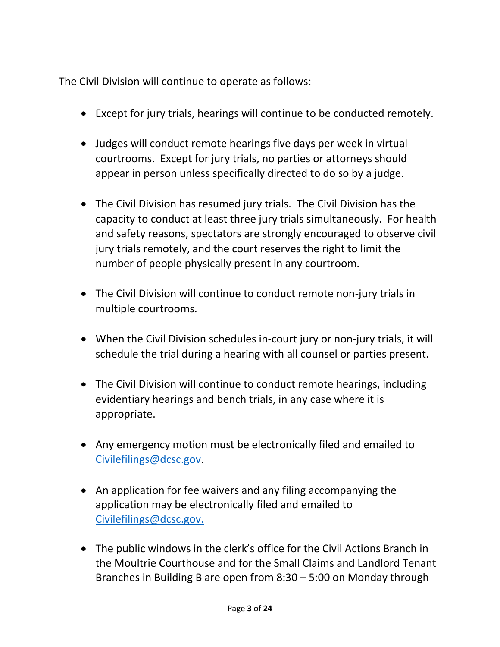The Civil Division will continue to operate as follows:

- Except for jury trials, hearings will continue to be conducted remotely.
- Judges will conduct remote hearings five days per week in virtual courtrooms. Except for jury trials, no parties or attorneys should appear in person unless specifically directed to do so by a judge.
- The Civil Division has resumed jury trials. The Civil Division has the capacity to conduct at least three jury trials simultaneously. For health and safety reasons, spectators are strongly encouraged to observe civil jury trials remotely, and the court reserves the right to limit the number of people physically present in any courtroom.
- The Civil Division will continue to conduct remote non-jury trials in multiple courtrooms.
- When the Civil Division schedules in-court jury or non-jury trials, it will schedule the trial during a hearing with all counsel or parties present.
- The Civil Division will continue to conduct remote hearings, including evidentiary hearings and bench trials, in any case where it is appropriate.
- Any emergency motion must be electronically filed and emailed to [Civilefilings@dcsc.gov.](mailto:Civilefilings@dcsc.gov)
- An application for fee waivers and any filing accompanying the application may be electronically filed and emailed to [Civilefilings@dcsc.gov.](mailto:Civilefilings@dcsc.gov)
- The public windows in the clerk's office for the Civil Actions Branch in the Moultrie Courthouse and for the Small Claims and Landlord Tenant Branches in Building B are open from 8:30 – 5:00 on Monday through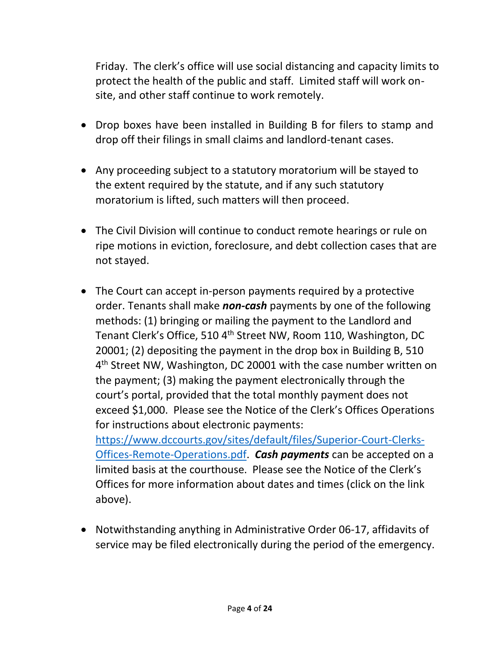Friday. The clerk's office will use social distancing and capacity limits to protect the health of the public and staff. Limited staff will work onsite, and other staff continue to work remotely.

- Drop boxes have been installed in Building B for filers to stamp and drop off their filings in small claims and landlord-tenant cases.
- Any proceeding subject to a statutory moratorium will be stayed to the extent required by the statute, and if any such statutory moratorium is lifted, such matters will then proceed.
- The Civil Division will continue to conduct remote hearings or rule on ripe motions in eviction, foreclosure, and debt collection cases that are not stayed.
- The Court can accept in-person payments required by a protective order. Tenants shall make *non-cash* payments by one of the following methods: (1) bringing or mailing the payment to the Landlord and Tenant Clerk's Office, 510 4<sup>th</sup> Street NW, Room 110, Washington, DC 20001; (2) depositing the payment in the drop box in Building B, 510 4<sup>th</sup> Street NW, Washington, DC 20001 with the case number written on the payment; (3) making the payment electronically through the court's portal, provided that the total monthly payment does not exceed \$1,000. Please see the Notice of the Clerk's Offices Operations for instructions about electronic payments: [https://www.dccourts.gov/sites/default/files/Superior-Court-Clerks-](https://www.dccourts.gov/sites/default/files/Superior-Court-Clerks-Offices-Remote-Operations.pdf)[Offices-Remote-Operations.pdf.](https://www.dccourts.gov/sites/default/files/Superior-Court-Clerks-Offices-Remote-Operations.pdf) *Cash payments* can be accepted on a limited basis at the courthouse. Please see the Notice of the Clerk's

Offices for more information about dates and times (click on the link above).

• Notwithstanding anything in Administrative Order 06-17, affidavits of service may be filed electronically during the period of the emergency.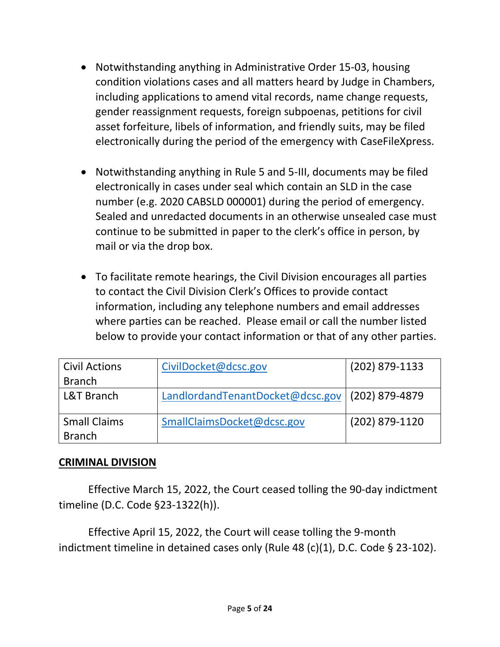- Notwithstanding anything in Administrative Order 15-03, housing condition violations cases and all matters heard by Judge in Chambers, including applications to amend vital records, name change requests, gender reassignment requests, foreign subpoenas, petitions for civil asset forfeiture, libels of information, and friendly suits, may be filed electronically during the period of the emergency with CaseFileXpress.
- Notwithstanding anything in Rule 5 and 5-III, documents may be filed electronically in cases under seal which contain an SLD in the case number (e.g. 2020 CABSLD 000001) during the period of emergency. Sealed and unredacted documents in an otherwise unsealed case must continue to be submitted in paper to the clerk's office in person, by mail or via the drop box.
- To facilitate remote hearings, the Civil Division encourages all parties to contact the Civil Division Clerk's Offices to provide contact information, including any telephone numbers and email addresses where parties can be reached. Please email or call the number listed below to provide your contact information or that of any other parties.

| <b>Civil Actions</b>                 | CivilDocket@dcsc.gov             | (202) 879-1133 |
|--------------------------------------|----------------------------------|----------------|
| <b>Branch</b>                        |                                  |                |
| L&T Branch                           | LandlordandTenantDocket@dcsc.gov | (202) 879-4879 |
| <b>Small Claims</b><br><b>Branch</b> | SmallClaimsDocket@dcsc.gov       | (202) 879-1120 |

### **CRIMINAL DIVISION**

Effective March 15, 2022, the Court ceased tolling the 90-day indictment timeline (D.C. Code §23-1322(h)).

Effective April 15, 2022, the Court will cease tolling the 9-month indictment timeline in detained cases only (Rule 48 (c)(1), D.C. Code § 23-102).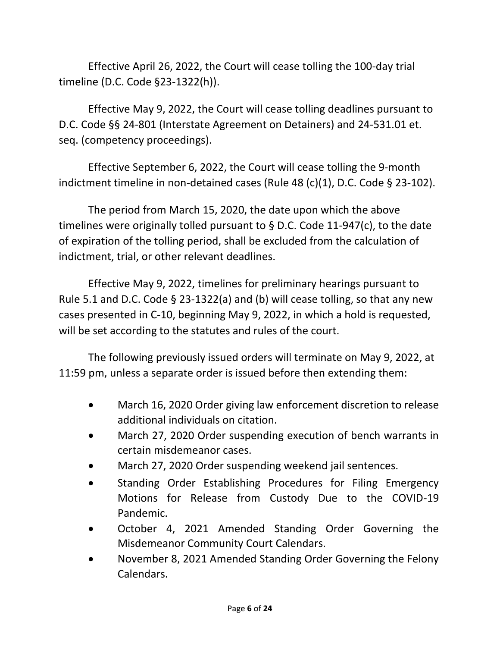Effective April 26, 2022, the Court will cease tolling the 100-day trial timeline (D.C. Code §23-1322(h)).

Effective May 9, 2022, the Court will cease tolling deadlines pursuant to D.C. Code §§ 24‐801 (Interstate Agreement on Detainers) and 24-531.01 et. seq. (competency proceedings).

Effective September 6, 2022, the Court will cease tolling the 9-month indictment timeline in non-detained cases (Rule 48 (c)(1), D.C. Code § 23-102).

The period from March 15, 2020, the date upon which the above timelines were originally tolled pursuant to § D.C. Code 11-947(c), to the date of expiration of the tolling period, shall be excluded from the calculation of indictment, trial, or other relevant deadlines.

Effective May 9, 2022, timelines for preliminary hearings pursuant to Rule 5.1 and D.C. Code § 23-1322(a) and (b) will cease tolling, so that any new cases presented in C-10, beginning May 9, 2022, in which a hold is requested, will be set according to the statutes and rules of the court.

The following previously issued orders will terminate on May 9, 2022, at 11:59 pm, unless a separate order is issued before then extending them:

- March 16, 2020 Order giving law enforcement discretion to release additional individuals on citation.
- March 27, 2020 Order suspending execution of bench warrants in certain misdemeanor cases.
- March 27, 2020 Order suspending weekend jail sentences.
- Standing Order Establishing Procedures for Filing Emergency Motions for Release from Custody Due to the COVID-19 Pandemic.
- October 4, 2021 Amended Standing Order Governing the Misdemeanor Community Court Calendars.
- November 8, 2021 Amended Standing Order Governing the Felony Calendars.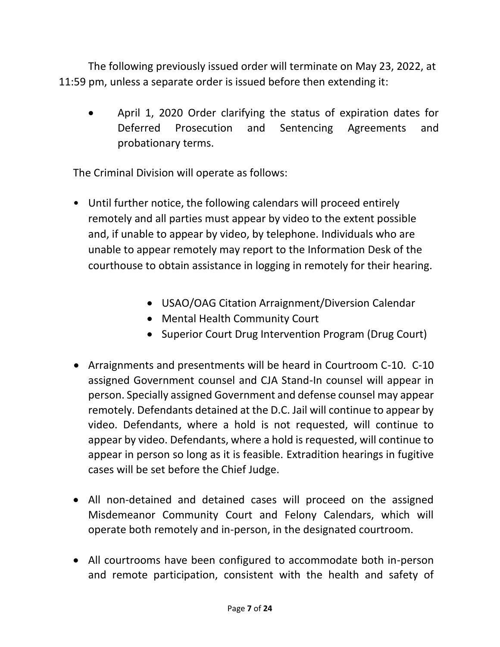The following previously issued order will terminate on May 23, 2022, at 11:59 pm, unless a separate order is issued before then extending it:

April 1, 2020 Order clarifying the status of expiration dates for Deferred Prosecution and Sentencing Agreements and probationary terms.

The Criminal Division will operate as follows:

- Until further notice, the following calendars will proceed entirely remotely and all parties must appear by video to the extent possible and, if unable to appear by video, by telephone. Individuals who are unable to appear remotely may report to the Information Desk of the courthouse to obtain assistance in logging in remotely for their hearing.
	- USAO/OAG Citation Arraignment/Diversion Calendar
	- Mental Health Community Court
	- Superior Court Drug Intervention Program (Drug Court)
- Arraignments and presentments will be heard in Courtroom C-10. C-10 assigned Government counsel and CJA Stand-In counsel will appear in person. Specially assigned Government and defense counsel may appear remotely. Defendants detained at the D.C. Jail will continue to appear by video. Defendants, where a hold is not requested, will continue to appear by video. Defendants, where a hold is requested, will continue to appear in person so long as it is feasible. Extradition hearings in fugitive cases will be set before the Chief Judge.
- All non-detained and detained cases will proceed on the assigned Misdemeanor Community Court and Felony Calendars, which will operate both remotely and in-person, in the designated courtroom.
- All courtrooms have been configured to accommodate both in-person and remote participation, consistent with the health and safety of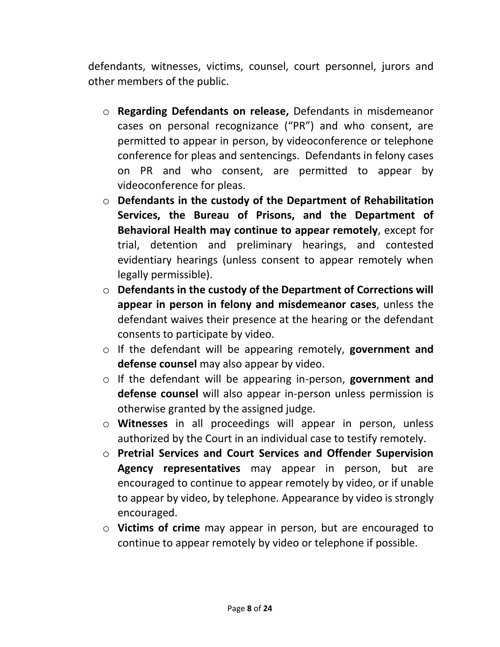defendants, witnesses, victims, counsel, court personnel, jurors and other members of the public.

- o **Regarding Defendants on release,** Defendants in misdemeanor cases on personal recognizance ("PR") and who consent, are permitted to appear in person, by videoconference or telephone conference for pleas and sentencings. Defendants in felony cases on PR and who consent, are permitted to appear by videoconference for pleas.
- o **Defendants in the custody of the Department of Rehabilitation Services, the Bureau of Prisons, and the Department of Behavioral Health may continue to appear remotely**, except for trial, detention and preliminary hearings, and contested evidentiary hearings (unless consent to appear remotely when legally permissible).
- o **Defendants in the custody of the Department of Corrections will appear in person in felony and misdemeanor cases**, unless the defendant waives their presence at the hearing or the defendant consents to participate by video.
- o If the defendant will be appearing remotely, **government and defense counsel** may also appear by video.
- o If the defendant will be appearing in-person, **government and defense counsel** will also appear in-person unless permission is otherwise granted by the assigned judge.
- o **Witnesses** in all proceedings will appear in person, unless authorized by the Court in an individual case to testify remotely.
- o **Pretrial Services and Court Services and Offender Supervision Agency representatives** may appear in person, but are encouraged to continue to appear remotely by video, or if unable to appear by video, by telephone. Appearance by video is strongly encouraged.
- o **Victims of crime** may appear in person, but are encouraged to continue to appear remotely by video or telephone if possible.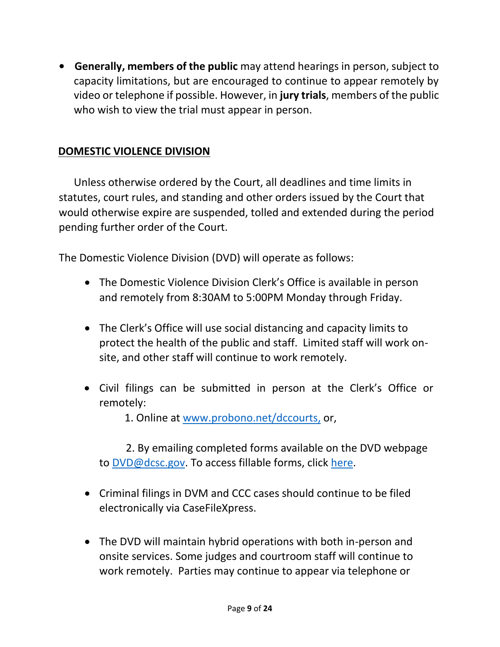**• Generally, members of the public** may attend hearings in person, subject to capacity limitations, but are encouraged to continue to appear remotely by video or telephone if possible. However, in **jury trials**, members of the public who wish to view the trial must appear in person.

## **DOMESTIC VIOLENCE DIVISION**

Unless otherwise ordered by the Court, all deadlines and time limits in statutes, court rules, and standing and other orders issued by the Court that would otherwise expire are suspended, tolled and extended during the period pending further order of the Court.

The Domestic Violence Division (DVD) will operate as follows:

- The Domestic Violence Division Clerk's Office is available in person and remotely from 8:30AM to 5:00PM Monday through Friday.
- The Clerk's Office will use social distancing and capacity limits to protect the health of the public and staff. Limited staff will work onsite, and other staff will continue to work remotely.
- Civil filings can be submitted in person at the Clerk's Office or remotely:

1. Online at [www.probono.net/dccourts,](http://www.probono.net/dccourts) or,

 2. By emailing completed forms available on the DVD webpage to [DVD@dcsc.gov.](mailto:DVD@dcsc.gov) To access fillable forms, click [here.](https://www.dccourts.gov/services/forms)

- Criminal filings in DVM and CCC cases should continue to be filed electronically via CaseFileXpress.
- The DVD will maintain hybrid operations with both in-person and onsite services. Some judges and courtroom staff will continue to work remotely. Parties may continue to appear via telephone or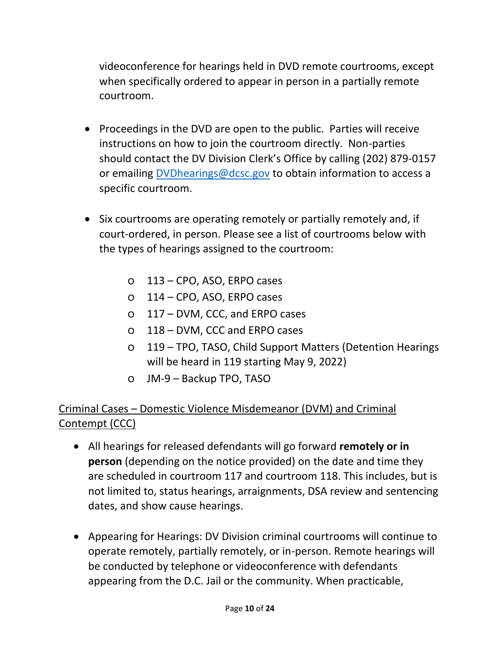videoconference for hearings held in DVD remote courtrooms, except when specifically ordered to appear in person in a partially remote courtroom.

- Proceedings in the DVD are open to the public. Parties will receive instructions on how to join the courtroom directly. Non-parties should contact the DV Division Clerk's Office by calling (202) 879-0157 or emailing [DVDhearings@dcsc.gov](mailto:DVDhearings@dcsc.gov) to obtain information to access a specific courtroom.
- Six courtrooms are operating remotely or partially remotely and, if court-ordered, in person. Please see a list of courtrooms below with the types of hearings assigned to the courtroom:
	- o 113 CPO, ASO, ERPO cases
	- o 114 CPO, ASO, ERPO cases
	- o 117 DVM, CCC, and ERPO cases
	- o 118 DVM, CCC and ERPO cases
	- o 119 TPO, TASO, Child Support Matters (Detention Hearings will be heard in 119 starting May 9, 2022)
	- o JM-9 Backup TPO, TASO

# Criminal Cases – Domestic Violence Misdemeanor (DVM) and Criminal Contempt (CCC)

- All hearings for released defendants will go forward **remotely or in person** (depending on the notice provided) on the date and time they are scheduled in courtroom 117 and courtroom 118. This includes, but is not limited to, status hearings, arraignments, DSA review and sentencing dates, and show cause hearings.
- Appearing for Hearings: DV Division criminal courtrooms will continue to operate remotely, partially remotely, or in-person. Remote hearings will be conducted by telephone or videoconference with defendants appearing from the D.C. Jail or the community. When practicable,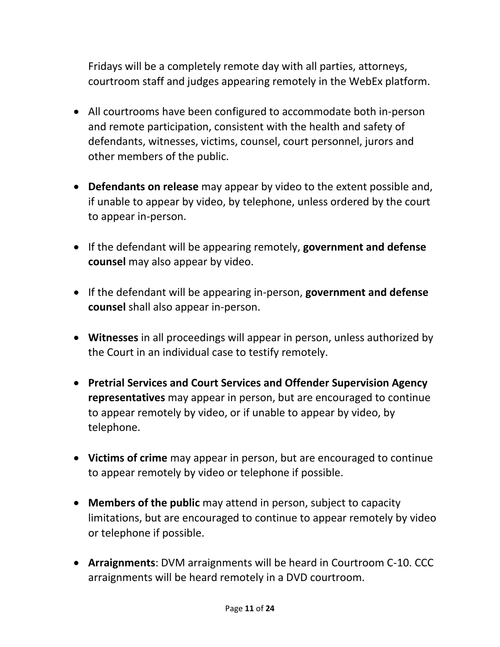Fridays will be a completely remote day with all parties, attorneys, courtroom staff and judges appearing remotely in the WebEx platform.

- All courtrooms have been configured to accommodate both in-person and remote participation, consistent with the health and safety of defendants, witnesses, victims, counsel, court personnel, jurors and other members of the public.
- **Defendants on release** may appear by video to the extent possible and, if unable to appear by video, by telephone, unless ordered by the court to appear in-person.
- If the defendant will be appearing remotely, **government and defense counsel** may also appear by video.
- If the defendant will be appearing in-person, **government and defense counsel** shall also appear in-person.
- **Witnesses** in all proceedings will appear in person, unless authorized by the Court in an individual case to testify remotely.
- **Pretrial Services and Court Services and Offender Supervision Agency representatives** may appear in person, but are encouraged to continue to appear remotely by video, or if unable to appear by video, by telephone.
- **Victims of crime** may appear in person, but are encouraged to continue to appear remotely by video or telephone if possible.
- **Members of the public** may attend in person, subject to capacity limitations, but are encouraged to continue to appear remotely by video or telephone if possible.
- **Arraignments**: DVM arraignments will be heard in Courtroom C-10. CCC arraignments will be heard remotely in a DVD courtroom.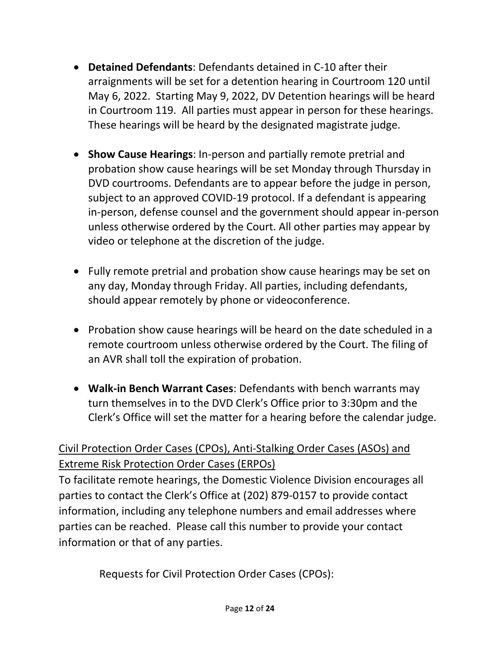- **Detained Defendants**: Defendants detained in C-10 after their arraignments will be set for a detention hearing in Courtroom 120 until May 6, 2022. Starting May 9, 2022, DV Detention hearings will be heard in Courtroom 119. All parties must appear in person for these hearings. These hearings will be heard by the designated magistrate judge.
- **Show Cause Hearings**: In-person and partially remote pretrial and probation show cause hearings will be set Monday through Thursday in DVD courtrooms. Defendants are to appear before the judge in person, subject to an approved COVID-19 protocol. If a defendant is appearing in-person, defense counsel and the government should appear in-person unless otherwise ordered by the Court. All other parties may appear by video or telephone at the discretion of the judge.
- Fully remote pretrial and probation show cause hearings may be set on any day, Monday through Friday. All parties, including defendants, should appear remotely by phone or videoconference.
- Probation show cause hearings will be heard on the date scheduled in a remote courtroom unless otherwise ordered by the Court. The filing of an AVR shall toll the expiration of probation.
- **Walk-in Bench Warrant Cases**: Defendants with bench warrants may turn themselves in to the DVD Clerk's Office prior to 3:30pm and the Clerk's Office will set the matter for a hearing before the calendar judge.

# Civil Protection Order Cases (CPOs), Anti-Stalking Order Cases (ASOs) and Extreme Risk Protection Order Cases (ERPOs)

To facilitate remote hearings, the Domestic Violence Division encourages all parties to contact the Clerk's Office at (202) 879-0157 to provide contact information, including any telephone numbers and email addresses where parties can be reached. Please call this number to provide your contact information or that of any parties.

Requests for Civil Protection Order Cases (CPOs):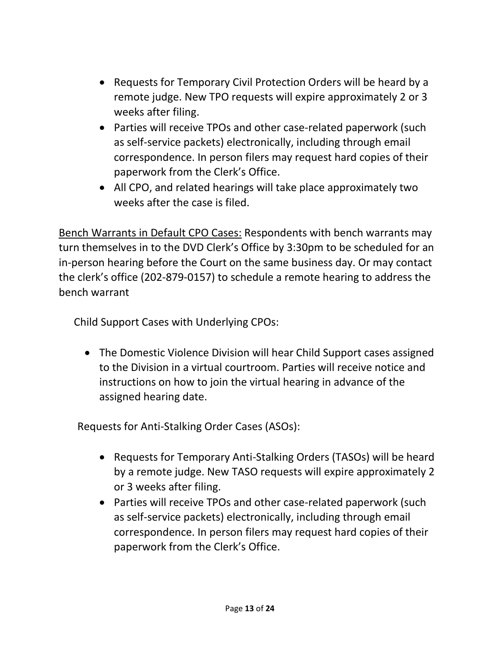- Requests for Temporary Civil Protection Orders will be heard by a remote judge. New TPO requests will expire approximately 2 or 3 weeks after filing.
- Parties will receive TPOs and other case-related paperwork (such as self-service packets) electronically, including through email correspondence. In person filers may request hard copies of their paperwork from the Clerk's Office.
- All CPO, and related hearings will take place approximately two weeks after the case is filed.

Bench Warrants in Default CPO Cases: Respondents with bench warrants may turn themselves in to the DVD Clerk's Office by 3:30pm to be scheduled for an in-person hearing before the Court on the same business day. Or may contact the clerk's office (202-879-0157) to schedule a remote hearing to address the bench warrant

Child Support Cases with Underlying CPOs:

• The Domestic Violence Division will hear Child Support cases assigned to the Division in a virtual courtroom. Parties will receive notice and instructions on how to join the virtual hearing in advance of the assigned hearing date.

Requests for Anti-Stalking Order Cases (ASOs):

- Requests for Temporary Anti-Stalking Orders (TASOs) will be heard by a remote judge. New TASO requests will expire approximately 2 or 3 weeks after filing.
- Parties will receive TPOs and other case-related paperwork (such as self-service packets) electronically, including through email correspondence. In person filers may request hard copies of their paperwork from the Clerk's Office.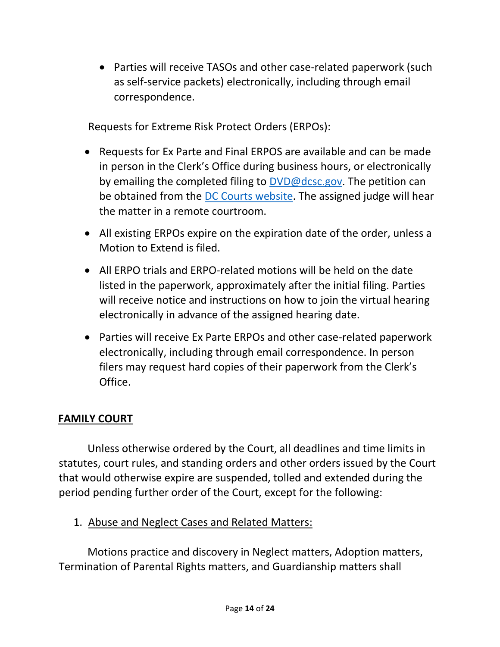• Parties will receive TASOs and other case-related paperwork (such as self-service packets) electronically, including through email correspondence.

Requests for Extreme Risk Protect Orders (ERPOs):

- Requests for Ex Parte and Final ERPOS are available and can be made in person in the Clerk's Office during business hours, or electronically by emailing the completed filing to [DVD@dcsc.gov.](mailto:DomesticViolenceManagement@dcsc.gov) The petition can be obtained from the [DC Courts website.](https://www.dccourts.gov/sites/default/files/2020-04/Petition%20for%20Extreme%20Risk%20Protection%20Order.pdf) The assigned judge will hear the matter in a remote courtroom.
- All existing ERPOs expire on the expiration date of the order, unless a Motion to Extend is filed.
- All ERPO trials and ERPO-related motions will be held on the date listed in the paperwork, approximately after the initial filing. Parties will receive notice and instructions on how to join the virtual hearing electronically in advance of the assigned hearing date.
- Parties will receive Ex Parte ERPOs and other case-related paperwork electronically, including through email correspondence. In person filers may request hard copies of their paperwork from the Clerk's Office.

### **FAMILY COURT**

Unless otherwise ordered by the Court, all deadlines and time limits in statutes, court rules, and standing orders and other orders issued by the Court that would otherwise expire are suspended, tolled and extended during the period pending further order of the Court, except for the following:

1. Abuse and Neglect Cases and Related Matters:

Motions practice and discovery in Neglect matters, Adoption matters, Termination of Parental Rights matters, and Guardianship matters shall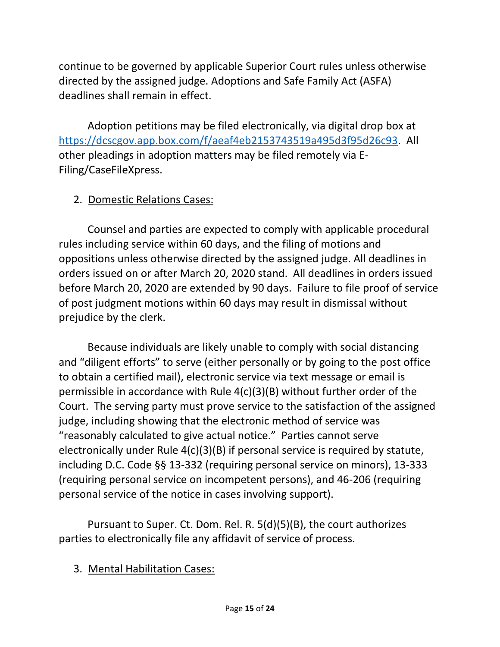continue to be governed by applicable Superior Court rules unless otherwise directed by the assigned judge. Adoptions and Safe Family Act (ASFA) deadlines shall remain in effect.

Adoption petitions may be filed electronically, via digital drop box at [https://dcscgov.app.box.com/f/aeaf4eb2153743519a495d3f95d26c93.](https://dcscgov.app.box.com/f/aeaf4eb2153743519a495d3f95d26c93) All other pleadings in adoption matters may be filed remotely via E-Filing/CaseFileXpress.

### 2. Domestic Relations Cases:

Counsel and parties are expected to comply with applicable procedural rules including service within 60 days, and the filing of motions and oppositions unless otherwise directed by the assigned judge. All deadlines in orders issued on or after March 20, 2020 stand. All deadlines in orders issued before March 20, 2020 are extended by 90 days. Failure to file proof of service of post judgment motions within 60 days may result in dismissal without prejudice by the clerk.

Because individuals are likely unable to comply with social distancing and "diligent efforts" to serve (either personally or by going to the post office to obtain a certified mail), electronic service via text message or email is permissible in accordance with Rule 4(c)(3)(B) without further order of the Court. The serving party must prove service to the satisfaction of the assigned judge, including showing that the electronic method of service was "reasonably calculated to give actual notice." Parties cannot serve electronically under Rule 4(c)(3)(B) if personal service is required by statute, including D.C. Code §§ 13-332 (requiring personal service on minors), 13-333 (requiring personal service on incompetent persons), and 46-206 (requiring personal service of the notice in cases involving support).

Pursuant to Super. Ct. Dom. Rel. R. 5(d)(5)(B), the court authorizes parties to electronically file any affidavit of service of process.

## 3. Mental Habilitation Cases: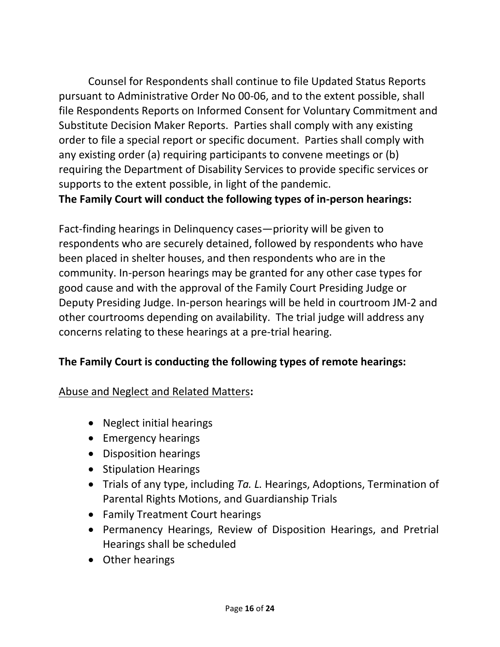Counsel for Respondents shall continue to file Updated Status Reports pursuant to Administrative Order No 00-06, and to the extent possible, shall file Respondents Reports on Informed Consent for Voluntary Commitment and Substitute Decision Maker Reports. Parties shall comply with any existing order to file a special report or specific document. Parties shall comply with any existing order (a) requiring participants to convene meetings or (b) requiring the Department of Disability Services to provide specific services or supports to the extent possible, in light of the pandemic.

## **The Family Court will conduct the following types of in-person hearings:**

Fact-finding hearings in Delinquency cases—priority will be given to respondents who are securely detained, followed by respondents who have been placed in shelter houses, and then respondents who are in the community. In-person hearings may be granted for any other case types for good cause and with the approval of the Family Court Presiding Judge or Deputy Presiding Judge. In-person hearings will be held in courtroom JM-2 and other courtrooms depending on availability. The trial judge will address any concerns relating to these hearings at a pre-trial hearing.

### **The Family Court is conducting the following types of remote hearings:**

### Abuse and Neglect and Related Matters**:**

- Neglect initial hearings
- Emergency hearings
- Disposition hearings
- Stipulation Hearings
- Trials of any type, including *Ta. L.* Hearings, Adoptions, Termination of Parental Rights Motions, and Guardianship Trials
- Family Treatment Court hearings
- Permanency Hearings, Review of Disposition Hearings, and Pretrial Hearings shall be scheduled
- Other hearings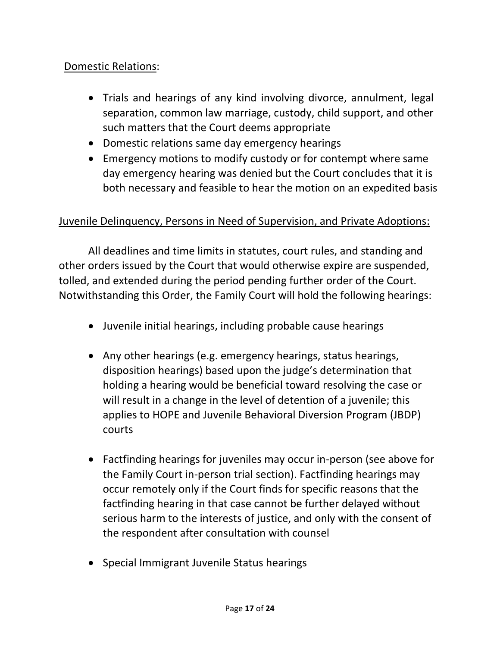## Domestic Relations:

- Trials and hearings of any kind involving divorce, annulment, legal separation, common law marriage, custody, child support, and other such matters that the Court deems appropriate
- Domestic relations same day emergency hearings
- Emergency motions to modify custody or for contempt where same day emergency hearing was denied but the Court concludes that it is both necessary and feasible to hear the motion on an expedited basis

## Juvenile Delinquency, Persons in Need of Supervision, and Private Adoptions:

All deadlines and time limits in statutes, court rules, and standing and other orders issued by the Court that would otherwise expire are suspended, tolled, and extended during the period pending further order of the Court. Notwithstanding this Order, the Family Court will hold the following hearings:

- Juvenile initial hearings, including probable cause hearings
- Any other hearings (e.g. emergency hearings, status hearings, disposition hearings) based upon the judge's determination that holding a hearing would be beneficial toward resolving the case or will result in a change in the level of detention of a juvenile; this applies to HOPE and Juvenile Behavioral Diversion Program (JBDP) courts
- Factfinding hearings for juveniles may occur in-person (see above for the Family Court in-person trial section). Factfinding hearings may occur remotely only if the Court finds for specific reasons that the factfinding hearing in that case cannot be further delayed without serious harm to the interests of justice, and only with the consent of the respondent after consultation with counsel
- Special Immigrant Juvenile Status hearings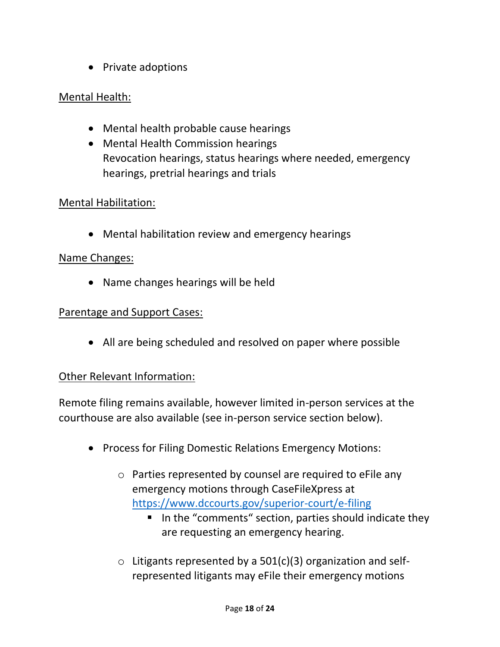• Private adoptions

### Mental Health:

- Mental health probable cause hearings
- Mental Health Commission hearings Revocation hearings, status hearings where needed, emergency hearings, pretrial hearings and trials

#### Mental Habilitation:

• Mental habilitation review and emergency hearings

#### Name Changes:

• Name changes hearings will be held

#### Parentage and Support Cases:

• All are being scheduled and resolved on paper where possible

### Other Relevant Information:

Remote filing remains available, however limited in-person services at the courthouse are also available (see in-person service section below).

- Process for Filing Domestic Relations Emergency Motions:
	- o Parties represented by counsel are required to eFile any emergency motions through CaseFileXpress at <https://www.dccourts.gov/superior-court/e-filing>
		- In the "comments" section, parties should indicate they are requesting an emergency hearing.
	- $\circ$  Litigants represented by a 501(c)(3) organization and selfrepresented litigants may eFile their emergency motions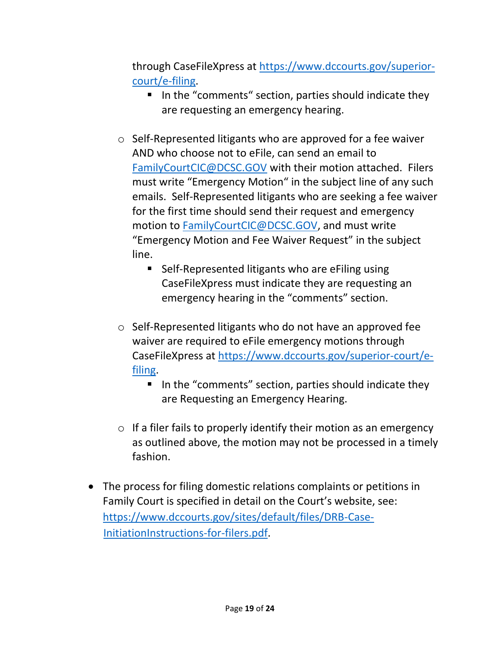through CaseFileXpress at [https://www.dccourts.gov/superior](https://www.dccourts.gov/superior-court/e-filing)[court/e-filing.](https://www.dccourts.gov/superior-court/e-filing)

- In the "comments" section, parties should indicate they are requesting an emergency hearing.
- o Self-Represented litigants who are approved for a fee waiver AND who choose not to eFile, can send an email to [FamilyCourtCIC@DCSC.GOV](mailto:FamilyCourtCIC@DCSC.GOV) with their motion attached. Filers must write "Emergency Motion" in the subject line of any such emails. Self-Represented litigants who are seeking a fee waiver for the first time should send their request and emergency motion to [FamilyCourtCIC@DCSC.GOV,](mailto:FamilyCourtCIC@DCSC.GOV) and must write "Emergency Motion and Fee Waiver Request" in the subject line.
	- Self-Represented litigants who are eFiling using CaseFileXpress must indicate they are requesting an emergency hearing in the "comments" section.
- o Self-Represented litigants who do not have an approved fee waiver are required to eFile emergency motions through CaseFileXpress at [https://www.dccourts.gov/superior-court/e](https://www.dccourts.gov/superior-court/e-filing)[filing.](https://www.dccourts.gov/superior-court/e-filing)
	- In the "comments" section, parties should indicate they are Requesting an Emergency Hearing.
- $\circ$  If a filer fails to properly identify their motion as an emergency as outlined above, the motion may not be processed in a timely fashion.
- The process for filing domestic relations complaints or petitions in Family Court is specified in detail on the Court's website, see: [https://www.dccourts.gov/sites/default/files/DRB-Case-](https://www.dccourts.gov/sites/default/files/DRB-Case-Initiation-Instructions-for-filers.pdf)[InitiationInstructions-for-filers.pdf.](https://www.dccourts.gov/sites/default/files/DRB-Case-Initiation-Instructions-for-filers.pdf)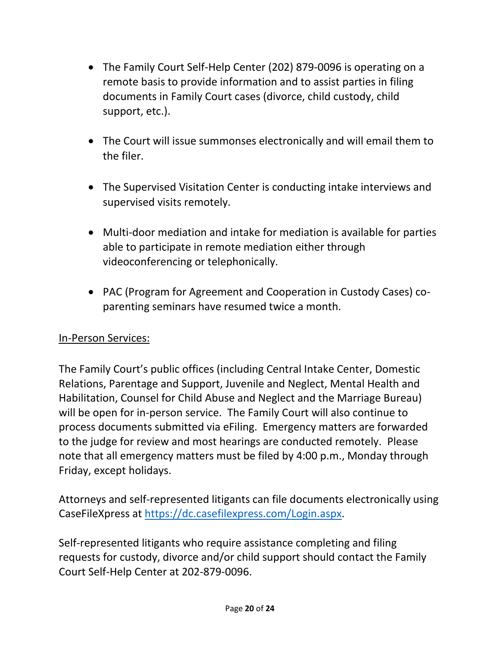- The Family Court Self-Help Center (202) 879-0096 is operating on a remote basis to provide information and to assist parties in filing documents in Family Court cases (divorce, child custody, child support, etc.).
- The Court will issue summonses electronically and will email them to the filer.
- The Supervised Visitation Center is conducting intake interviews and supervised visits remotely.
- Multi-door mediation and intake for mediation is available for parties able to participate in remote mediation either through videoconferencing or telephonically.
- PAC (Program for Agreement and Cooperation in Custody Cases) coparenting seminars have resumed twice a month.

### In-Person Services:

The Family Court's public offices (including Central Intake Center, Domestic Relations, Parentage and Support, Juvenile and Neglect, Mental Health and Habilitation, Counsel for Child Abuse and Neglect and the Marriage Bureau) will be open for in-person service. The Family Court will also continue to process documents submitted via eFiling. Emergency matters are forwarded to the judge for review and most hearings are conducted remotely. Please note that all emergency matters must be filed by 4:00 p.m., Monday through Friday, except holidays.

Attorneys and self-represented litigants can file documents electronically using CaseFileXpress at [https://dc.casefilexpress.com/Login.aspx.](https://gcc02.safelinks.protection.outlook.com/?url=https%3A%2F%2Fdc.casefilexpress.com%2FLogin.aspx&data=04%7C01%7CPeter.Krauthamer%40dcsc.gov%7C6597f8a103004104f1cc08d9457213e0%7Cef135c776b1b43b587251be2a36c1e9e%7C0%7C0%7C637617178549950422%7CUnknown%7CTWFpbGZsb3d8eyJWIjoiMC4wLjAwMDAiLCJQIjoiV2luMzIiLCJBTiI6Ik1haWwiLCJXVCI6Mn0%3D%7C1000&sdata=8bcyvsrTGqyZUJmc0XZ0Q8KmSQ5aL8OgbXnQs7pU%2BXw%3D&reserved=0)

Self-represented litigants who require assistance completing and filing requests for custody, divorce and/or child support should contact the Family Court Self-Help Center at 202-879-0096.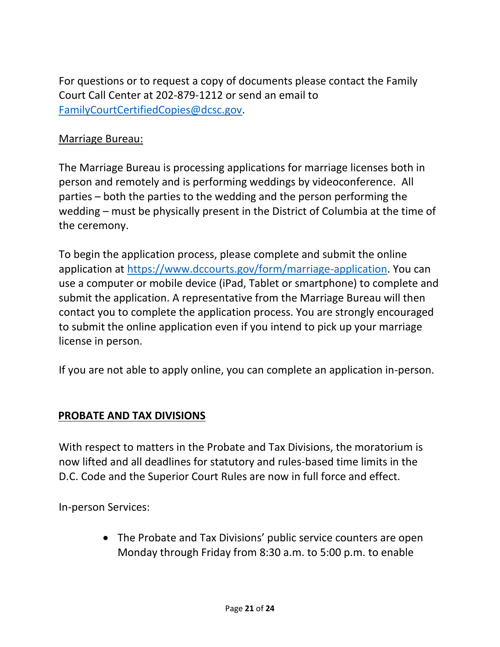For questions or to request a copy of documents please contact the Family Court Call Center at 202-879-1212 or send an email to [FamilyCourtCertifiedCopies@dcsc.gov.](mailto:FamilyCourtCertifiedCopies@dcsc.gov)

#### Marriage Bureau:

The Marriage Bureau is processing applications for marriage licenses both in person and remotely and is performing weddings by videoconference. All parties – both the parties to the wedding and the person performing the wedding – must be physically present in the District of Columbia at the time of the ceremony.

To begin the application process, please complete and submit the online application at [https://www.dccourts.gov/form/marriage-application.](https://www.dccourts.gov/form/marriage-application) You can use a computer or mobile device (iPad, Tablet or smartphone) to complete and submit the application. A representative from the Marriage Bureau will then contact you to complete the application process. You are strongly encouraged to submit the online application even if you intend to pick up your marriage license in person.

If you are not able to apply online, you can complete an application in-person.

#### **PROBATE AND TAX DIVISIONS**

With respect to matters in the Probate and Tax Divisions, the moratorium is now lifted and all deadlines for statutory and rules-based time limits in the D.C. Code and the Superior Court Rules are now in full force and effect.

In-person Services:

• The Probate and Tax Divisions' public service counters are open Monday through Friday from 8:30 a.m. to 5:00 p.m. to enable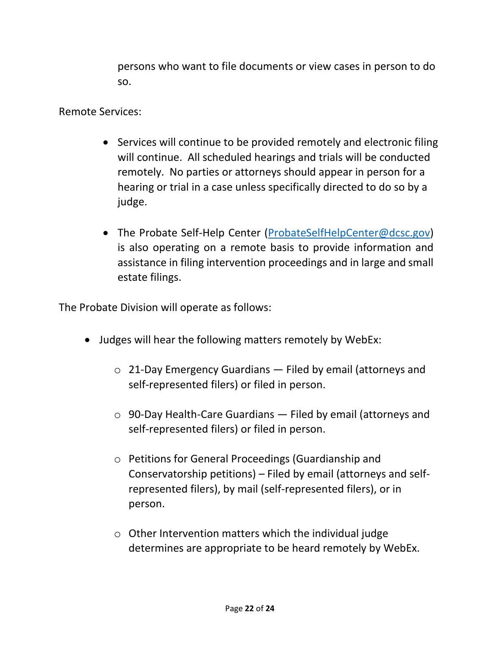persons who want to file documents or view cases in person to do so.

Remote Services:

- Services will continue to be provided remotely and electronic filing will continue. All scheduled hearings and trials will be conducted remotely. No parties or attorneys should appear in person for a hearing or trial in a case unless specifically directed to do so by a judge.
- The Probate Self-Help Center [\(ProbateSelfHelpCenter@dcsc.gov\)](mailto:ProbateSelfHelpCenter@dcsc.gov) is also operating on a remote basis to provide information and assistance in filing intervention proceedings and in large and small estate filings.

The Probate Division will operate as follows:

- Judges will hear the following matters remotely by WebEx:
	- o 21-Day Emergency Guardians Filed by email (attorneys and self-represented filers) or filed in person.
	- o 90-Day Health-Care Guardians Filed by email (attorneys and self-represented filers) or filed in person.
	- o Petitions for General Proceedings (Guardianship and Conservatorship petitions) – Filed by email (attorneys and selfrepresented filers), by mail (self-represented filers), or in person.
	- o Other Intervention matters which the individual judge determines are appropriate to be heard remotely by WebEx.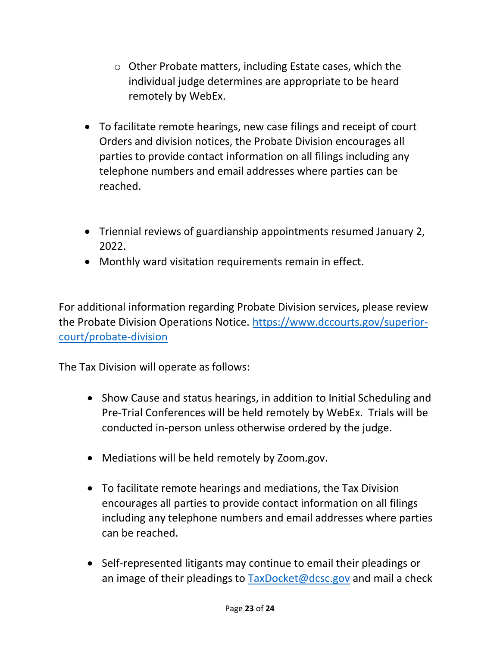- o Other Probate matters, including Estate cases, which the individual judge determines are appropriate to be heard remotely by WebEx.
- To facilitate remote hearings, new case filings and receipt of court Orders and division notices, the Probate Division encourages all parties to provide contact information on all filings including any telephone numbers and email addresses where parties can be reached.
- Triennial reviews of guardianship appointments resumed January 2, 2022.
- Monthly ward visitation requirements remain in effect.

For additional information regarding Probate Division services, please review the Probate Division Operations Notice. [https://www.dccourts.gov/superior](https://www.dccourts.gov/superior-court/probate-division)[court/probate-division](https://www.dccourts.gov/superior-court/probate-division)

The Tax Division will operate as follows:

- Show Cause and status hearings, in addition to Initial Scheduling and Pre-Trial Conferences will be held remotely by WebEx. Trials will be conducted in-person unless otherwise ordered by the judge.
- Mediations will be held remotely by Zoom.gov.
- To facilitate remote hearings and mediations, the Tax Division encourages all parties to provide contact information on all filings including any telephone numbers and email addresses where parties can be reached.
- Self-represented litigants may continue to email their pleadings or an image of their pleadings to **TaxDocket@dcsc.gov** and mail a check